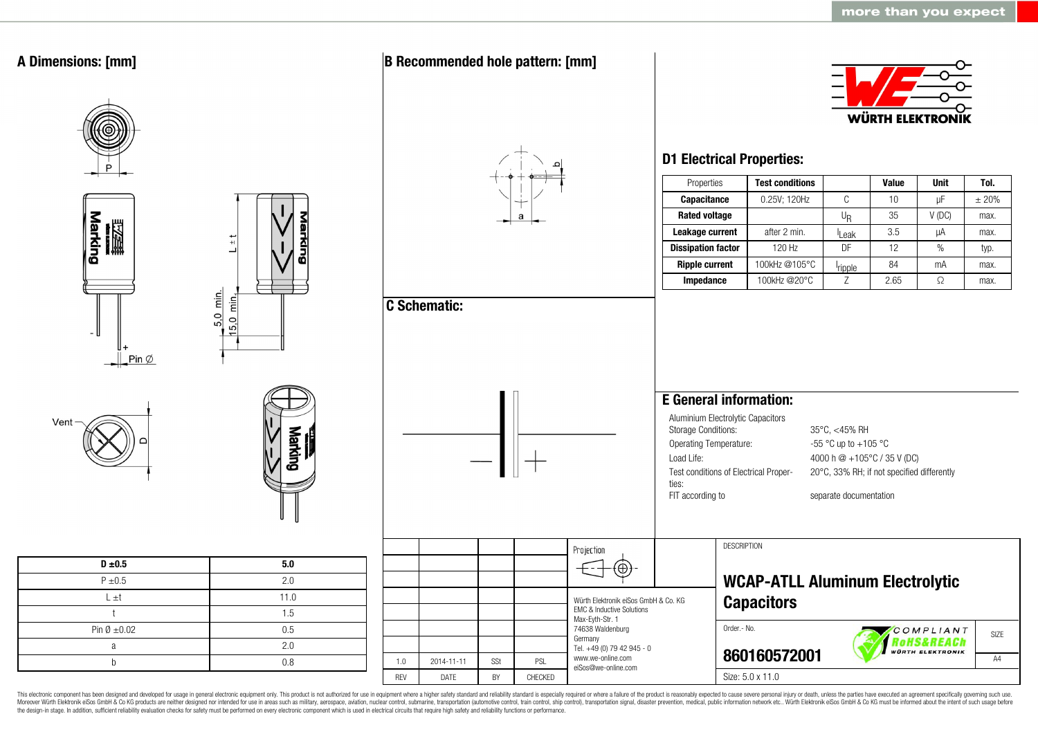

This electronic component has been designed and developed for usage in general electronic equipment only. This product is not authorized for use in equipment where a higher safety standard and reliability standard is espec Moreover Würth Elektronik eiSos GmbH & Co KG products are neither designed nor intended for use in areas such as military, aerospace, aviation, nuclear control, submarine, transportation (automotive control, ship control), the design-in stage. In addition, sufficient reliability evaluation checks for safety must be performed on every electronic component which is used in electrical circuits that require high safety and reliability functions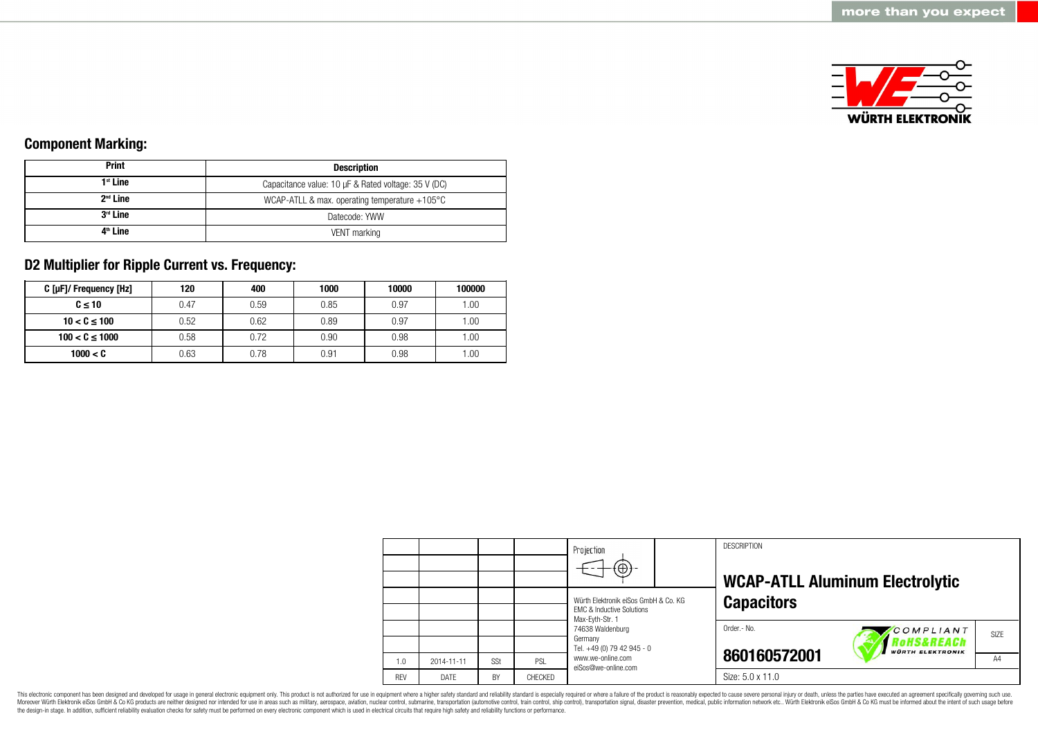

### **Component Marking:**

| <b>Print</b>         | <b>Description</b>                                      |  |  |
|----------------------|---------------------------------------------------------|--|--|
| $1st$ Line           | Capacitance value: 10 µF & Rated voltage: 35 V (DC)     |  |  |
| $2nd$ Line           | WCAP-ATLL & max. operating temperature $+105^{\circ}$ C |  |  |
| 3 <sup>rd</sup> Line | Datecode: YWW                                           |  |  |
| 4 <sup>th</sup> Line | VENT marking                                            |  |  |

### **D2 Multiplier for Ripple Current vs. Frequency:**

| C [µF]/ Frequency [Hz] | 120  | 400  | 1000 | 10000 | 100000 |
|------------------------|------|------|------|-------|--------|
| $C \leq 10$            | 0.47 | 0.59 | 0.85 | 0.97  | .00.   |
| $10 < C \le 100$       | 0.52 | 0.62 | 0.89 | 0.97  | .00.   |
| $100 < C \le 1000$     | 0.58 | 0.72 | 0.90 | 0.98  | .00.   |
| 1000 < C               | 0.63 | 0.78 | 0.91 | 0.98  | .00.   |

|            |             |           |         | Projection<br>$\bigoplus$                                                                       | <b>DESCRIPTION</b><br><b>WCAP-ATLL Aluminum Electrolytic</b>              |  |  |
|------------|-------------|-----------|---------|-------------------------------------------------------------------------------------------------|---------------------------------------------------------------------------|--|--|
|            |             |           |         | Würth Elektronik eiSos GmbH & Co. KG<br><b>EMC &amp; Inductive Solutions</b><br>Max-Eyth-Str. 1 | <b>Capacitors</b>                                                         |  |  |
|            |             |           |         | 74638 Waldenburg<br>Germany<br>Tel. +49 (0) 79 42 945 - 0                                       | Order .- No.<br>COMPLIANT<br>SIZE<br>oHS&REACh<br><b>WÜRTH ELEKTRONIK</b> |  |  |
| 1.0        | 2014-11-11  | SSt       | PSL     | www.we-online.com<br>eiSos@we-online.com                                                        | 860160572001<br>A4                                                        |  |  |
| <b>RFV</b> | <b>DATE</b> | <b>BY</b> | CHECKED |                                                                                                 | Size: 5.0 x 11.0                                                          |  |  |

This electronic component has been designed and developed for usage in general electronic equipment only. This product is not authorized for use in equipment where a higher safety standard and reliability standard is espec Moreover Würth Elektronik eiSos GmbH & Co KG products are neither designed nor intended for use in areas such as military, aerospace, aviation, nuclear control, submarine, transportation (automotive control), stain control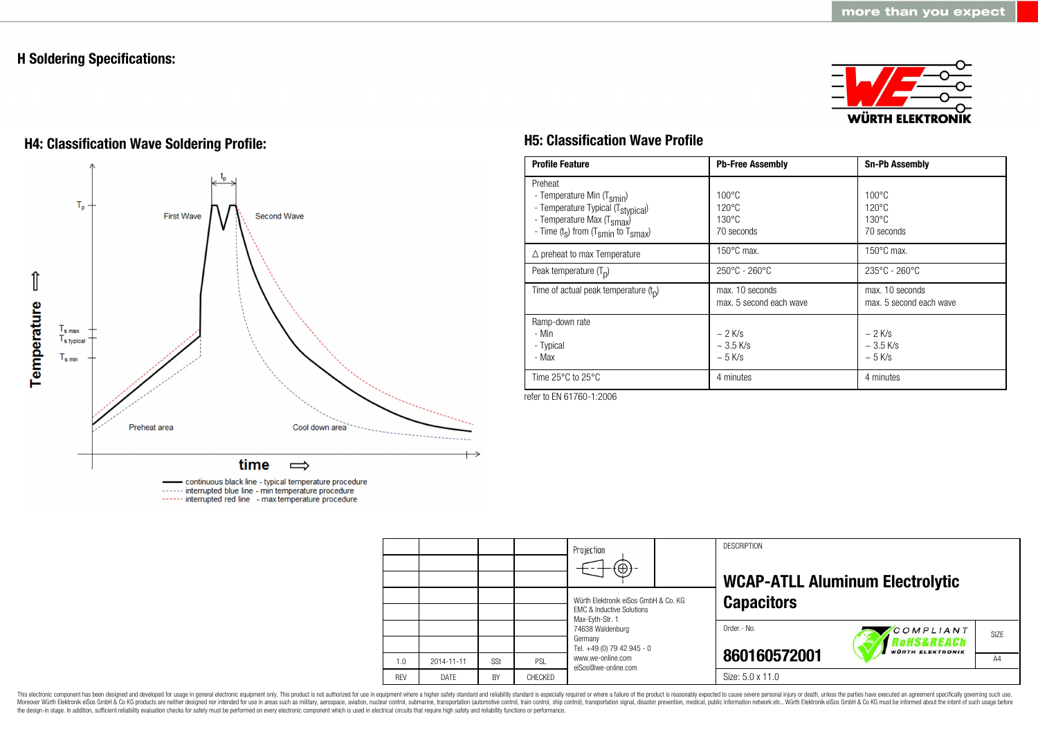### **H Soldering Specifications:**



# **H4: Classification Wave Soldering Profile: H5: Classification Wave Profile**



continuous black line - typical temperature procedure ------ interrupted blue line - min temperature procedure ------ interrupted red line - max temperature procedure

| <b>Profile Feature</b>                                                                                                                                                                          | <b>Pb-Free Assembly</b>                                             | <b>Sn-Pb Assembly</b>                                               |
|-------------------------------------------------------------------------------------------------------------------------------------------------------------------------------------------------|---------------------------------------------------------------------|---------------------------------------------------------------------|
| Preheat<br>- Temperature Min (T <sub>smin</sub> )<br>- Temperature Typical (T <sub>stypical</sub> )<br>- Temperature Max (T <sub>smax</sub> )<br>- Time $(t_s)$ from $(T_{smin}$ to $T_{smax})$ | $100^{\circ}$ C<br>$120^{\circ}$ C<br>$130^{\circ}$ C<br>70 seconds | $100^{\circ}$ C<br>$120^{\circ}$ C<br>$130^{\circ}$ C<br>70 seconds |
| $\triangle$ preheat to max Temperature                                                                                                                                                          | $150^{\circ}$ C max.                                                | $150^{\circ}$ C max.                                                |
| Peak temperature $(T_n)$                                                                                                                                                                        | $250^{\circ}$ C - 260 $^{\circ}$ C                                  | $235^{\circ}$ C - 260 $^{\circ}$ C                                  |
| Time of actual peak temperature $(t_n)$                                                                                                                                                         | max. 10 seconds<br>max. 5 second each wave                          | max. 10 seconds<br>max. 5 second each wave                          |
| Ramp-down rate<br>- Min<br>- Typical<br>- Max                                                                                                                                                   | $\sim$ 2 K/s<br>$\sim$ 3.5 K/s<br>$\sim$ 5 K/s                      | $\sim$ 2 K/s<br>$\sim$ 3.5 K/s<br>$~5$ K/s                          |
| Time $25^{\circ}$ C to $25^{\circ}$ C                                                                                                                                                           | 4 minutes                                                           | 4 minutes                                                           |

refer to EN 61760-1:2006

|            |            |           |         | Projection                                                                   |  | <b>DESCRIPTION</b>                      |                                        |      |
|------------|------------|-----------|---------|------------------------------------------------------------------------------|--|-----------------------------------------|----------------------------------------|------|
|            |            |           |         | $\Theta$                                                                     |  |                                         | <b>WCAP-ATLL Aluminum Electrolytic</b> |      |
|            |            |           |         | Würth Elektronik eiSos GmbH & Co. KG<br><b>EMC &amp; Inductive Solutions</b> |  | <b>Capacitors</b>                       |                                        |      |
|            |            |           |         | Max-Eyth-Str. 1<br>74638 Waldenburg<br>Germany                               |  | Order.- No.                             | COMPLIANT<br>?oHS&REACh                | SIZE |
| 1.0        | 2014-11-11 | SSt       | PSL     | Tel. +49 (0) 79 42 945 - 0<br>www.we-online.com<br>eiSos@we-online.com       |  | <b>WÜRTH ELEKTRONIK</b><br>860160572001 |                                        | A4   |
| <b>RFV</b> | DATE       | <b>BY</b> | CHECKED |                                                                              |  | Size: 5.0 x 11.0                        |                                        |      |

This electronic component has been designed and developed for usage in general electronic equipment only. This product is not authorized for use in equipment where a higher safety standard and reliability standard and reli Moreover Würth Elektronik eiSos GmbH & Co KG products are neither designed nor intended for use in areas such as military, aerospace, aviation, nuclear control, submarine, transportation (automotive control), stain control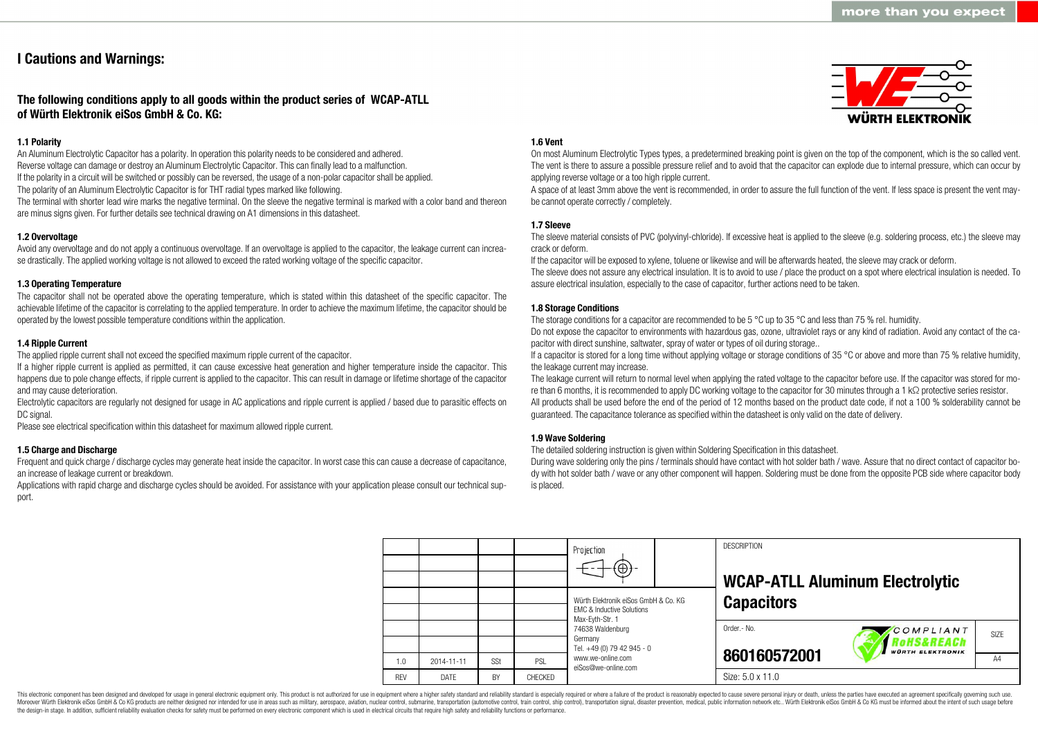### **I Cautions and Warnings:**

### **The following conditions apply to all goods within the product series of WCAP-ATLL of Würth Elektronik eiSos GmbH & Co. KG:**

### **1.1 Polarity**

An Aluminum Electrolytic Capacitor has a polarity. In operation this polarity needs to be considered and adhered. Reverse voltage can damage or destroy an Aluminum Electrolytic Capacitor. This can finally lead to a malfunction. If the polarity in a circuit will be switched or possibly can be reversed, the usage of a non-polar capacitor shall be applied. The polarity of an Aluminum Electrolytic Capacitor is for THT radial types marked like following.

The terminal with shorter lead wire marks the negative terminal. On the sleeve the negative terminal is marked with a color band and thereon are minus signs given. For further details see technical drawing on A1 dimensions in this datasheet.

### **1.2 Overvoltage**

Avoid any overvoltage and do not apply a continuous overvoltage. If an overvoltage is applied to the capacitor, the leakage current can increase drastically. The applied working voltage is not allowed to exceed the rated working voltage of the specific capacitor.

#### **1.3 Operating Temperature**

The capacitor shall not be operated above the operating temperature, which is stated within this datasheet of the specific capacitor. The achievable lifetime of the capacitor is correlating to the applied temperature. In order to achieve the maximum lifetime, the capacitor should be operated by the lowest possible temperature conditions within the application.

#### **1.4 Ripple Current**

The applied ripple current shall not exceed the specified maximum ripple current of the capacitor.

If a higher ripple current is applied as permitted, it can cause excessive heat generation and higher temperature inside the capacitor. This happens due to pole change effects, if ripple current is applied to the capacitor. This can result in damage or lifetime shortage of the capacitor and may cause deterioration.

Electrolytic capacitors are regularly not designed for usage in AC applications and ripple current is applied / based due to parasitic effects on DC signal.

Please see electrical specification within this datasheet for maximum allowed ripple current.

#### **1.5 Charge and Discharge**

Frequent and quick charge / discharge cycles may generate heat inside the capacitor. In worst case this can cause a decrease of capacitance, an increase of leakage current or breakdown.

Applications with rapid charge and discharge cycles should be avoided. For assistance with your application please consult our technical support.

#### **1.6 Vent**

On most Aluminum Electrolytic Types types, a predetermined breaking point is given on the top of the component, which is the so called vent. The vent is there to assure a possible pressure relief and to avoid that the capacitor can explode due to internal pressure, which can occur by applying reverse voltage or a too high ripple current.

A space of at least 3mm above the vent is recommended, in order to assure the full function of the vent. If less space is present the vent maybe cannot operate correctly / completely.

### **1.7 Sleeve**

The sleeve material consists of PVC (polyvinyl-chloride). If excessive heat is applied to the sleeve (e.g. soldering process, etc.) the sleeve may crack or deform.

If the capacitor will be exposed to xylene, toluene or likewise and will be afterwards heated, the sleeve may crack or deform.

The sleeve does not assure any electrical insulation. It is to avoid to use / place the product on a spot where electrical insulation is needed. To assure electrical insulation, especially to the case of capacitor, further actions need to be taken.

#### **1.8 Storage Conditions**

The storage conditions for a capacitor are recommended to be 5 °C up to 35 °C and less than 75 % rel. humidity.

Do not expose the capacitor to environments with hazardous gas, ozone, ultraviolet rays or any kind of radiation. Avoid any contact of the capacitor with direct sunshine, saltwater, spray of water or types of oil during storage..

If a capacitor is stored for a long time without applying voltage or storage conditions of 35 °C or above and more than 75 % relative humidity, the leakage current may increase.

The leakage current will return to normal level when applying the rated voltage to the capacitor before use. If the capacitor was stored for more than 6 months, it is recommended to apply DC working voltage to the capacitor for 30 minutes through a 1 kΩ protective series resistor. All products shall be used before the end of the period of 12 months based on the product date code, if not a 100 % solderability cannot be guaranteed. The capacitance tolerance as specified within the datasheet is only valid on the date of delivery.

#### **1.9 Wave Soldering**

The detailed soldering instruction is given within Soldering Specification in this datasheet.

During wave soldering only the pins / terminals should have contact with hot solder bath / wave. Assure that no direct contact of capacitor body with hot solder bath / wave or any other component will happen. Soldering must be done from the opposite PCB side where capacitor body is placed.

|            |             |     |         | Projection<br>$\bigoplus$                                                                       |  | <b>DESCRIPTION</b><br><b>WCAP-ATLL Aluminum Electrolytic</b> |                                                    |    |
|------------|-------------|-----|---------|-------------------------------------------------------------------------------------------------|--|--------------------------------------------------------------|----------------------------------------------------|----|
|            |             |     |         | Würth Elektronik eiSos GmbH & Co. KG<br><b>EMC &amp; Inductive Solutions</b><br>Max-Eyth-Str. 1 |  | <b>Capacitors</b>                                            |                                                    |    |
|            |             |     |         | 74638 Waldenburg<br>Germany<br>Tel. +49 (0) 79 42 945 - 0                                       |  | Order.- No.                                                  | COMPLIANT<br>RoHS&REACh<br><b>WÜRTH ELEKTRONIK</b> |    |
| 1.0        | 2014-11-11  | SSt | PSL     | www.we-online.com                                                                               |  | 860160572001                                                 |                                                    | A4 |
| <b>RFV</b> | <b>DATF</b> | BY  | CHECKED | eiSos@we-online.com                                                                             |  | Size: 5.0 x 11.0                                             |                                                    |    |

This electronic component has been designed and developed for usage in general electronic equipment only. This product is not authorized for use in equipment where a higher safety standard and reliability standard is espec Moreover Würth Elektronik eiSos GmbH & Co KG products are neither designed nor intended for use in areas such as military, aerospace, aviation, nuclear control, submarine, transportation (automotive control), tain control) the design-in stage. In addition, sufficient reliability evaluation checks for safety must be performed on every electronic component which is used in electrical circuits that require high safety and reliability functions

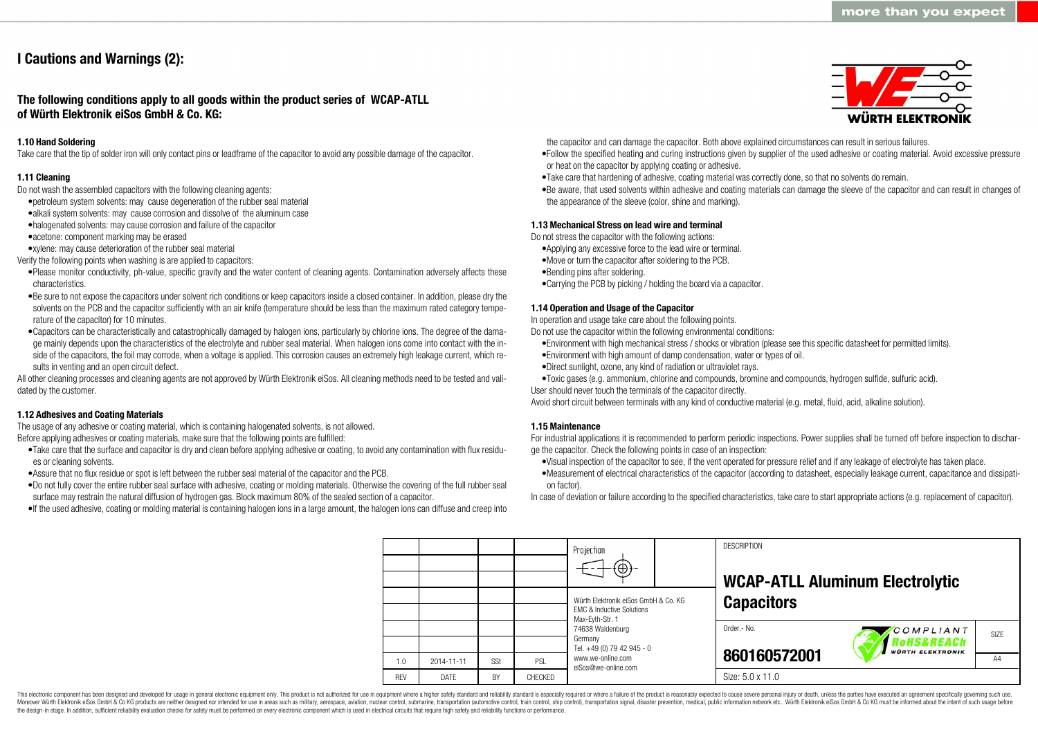## **I Cautions and Warnings (2):**

**The following conditions apply to all goods within the product series of WCAP-ATLL of Würth Elektronik eiSos GmbH & Co. KG:**

#### **1.10 Hand Soldering**

Take care that the tip of solder iron will only contact pins or leadframe of the capacitor to avoid any possible damage of the capacitor.

#### **1.11 Cleaning**

Do not wash the assembled capacitors with the following cleaning agents:

- •petroleum system solvents: may cause degeneration of the rubber seal material
- •alkali system solvents: may cause corrosion and dissolve of the aluminum case
- •halogenated solvents: may cause corrosion and failure of the capacitor
- •acetone: component marking may be erased
- •xylene: may cause deterioration of the rubber seal material
- Verify the following points when washing is are applied to capacitors:
- •Please monitor conductivity, ph-value, specific gravity and the water content of cleaning agents. Contamination adversely affects these characteristics.
- •Be sure to not expose the capacitors under solvent rich conditions or keep capacitors inside a closed container. In addition, please dry the solvents on the PCB and the capacitor sufficiently with an air knife (temperature should be less than the maximum rated category temperature of the capacitor) for 10 minutes.
- •Capacitors can be characteristically and catastrophically damaged by halogen ions, particularly by chlorine ions. The degree of the damage mainly depends upon the characteristics of the electrolyte and rubber seal material. When halogen ions come into contact with the inside of the capacitors, the foil may corrode, when a voltage is applied. This corrosion causes an extremely high leakage current, which results in venting and an open circuit defect.

All other cleaning processes and cleaning agents are not approved by Würth Elektronik eiSos. All cleaning methods need to be tested and validated by the customer.

#### **1.12 Adhesives and Coating Materials**

The usage of any adhesive or coating material, which is containing halogenated solvents, is not allowed. Before applying adhesives or coating materials, make sure that the following points are fulfilled:

- •Take care that the surface and capacitor is dry and clean before applying adhesive or coating, to avoid any contamination with flux residues or cleaning solvents.
- •Assure that no flux residue or spot is left between the rubber seal material of the capacitor and the PCB.
- •Do not fully cover the entire rubber seal surface with adhesive, coating or molding materials. Otherwise the covering of the full rubber seal surface may restrain the natural diffusion of hydrogen gas. Block maximum 80% of the sealed section of a capacitor.
- •If the used adhesive, coating or molding material is containing halogen ions in a large amount, the halogen ions can diffuse and creep into



the capacitor and can damage the capacitor. Both above explained circumstances can result in serious failures.

- •Follow the specified heating and curing instructions given by supplier of the used adhesive or coating material. Avoid excessive pressure or heat on the capacitor by applying coating or adhesive.
- •Take care that hardening of adhesive, coating material was correctly done, so that no solvents do remain.
- •Be aware, that used solvents within adhesive and coating materials can damage the sleeve of the capacitor and can result in changes of the appearance of the sleeve (color, shine and marking).

#### **1.13 Mechanical Stress on lead wire and terminal**

Do not stress the capacitor with the following actions:

- •Applying any excessive force to the lead wire or terminal.
- •Move or turn the capacitor after soldering to the PCB.
- •Bending pins after soldering.
- •Carrying the PCB by picking / holding the board via a capacitor.

#### **1.14 Operation and Usage of the Capacitor**

In operation and usage take care about the following points.

Do not use the capacitor within the following environmental conditions:

- •Environment with high mechanical stress / shocks or vibration (please see this specific datasheet for permitted limits).
- •Environment with high amount of damp condensation, water or types of oil.
- •Direct sunlight, ozone, any kind of radiation or ultraviolet rays.
- •Toxic gases (e.g. ammonium, chlorine and compounds, bromine and compounds, hydrogen sulfide, sulfuric acid).
- User should never touch the terminals of the capacitor directly.

Avoid short circuit between terminals with any kind of conductive material (e.g. metal, fluid, acid, alkaline solution).

#### **1.15 Maintenance**

For industrial applications it is recommended to perform periodic inspections. Power supplies shall be turned off before inspection to discharge the capacitor. Check the following points in case of an inspection:

- •Visual inspection of the capacitor to see, if the vent operated for pressure relief and if any leakage of electrolyte has taken place.
- •Measurement of electrical characteristics of the capacitor (according to datasheet, especially leakage current, capacitance and dissipation factor).

In case of deviation or failure according to the specified characteristics, take care to start appropriate actions (e.g. replacement of capacitor).

**DESCRIPTION** Projection **WCAP-ATLL Aluminum Electrolytic** Würth Elektronik eiSos GmbH & Co. KG **Capacitors** EMC & Inductive Solutions Max-Eyth-Str. 1 74638 Waldenburg Order.- No. COMPLIANT SIZE Germany **RoHS&REACh** Tel. +49 (0) 79 42 945 - 0 **VÜRTH ELEKTRONIK 860160572001** www.we-online.com A<sub>4</sub> 1.0 2014-11-11 S<sub>St</sub> PSL eiSos@we-online.com Size: 5.0 x 11.0 REV DATE BY CHECKED

This electronic component has been designed and developed for usage in general electronic equipment only. This product is not authorized for use in equipment where a higher safety standard and reliability standard and reli Moreover Würth Elektronik eiSos GmbH & Co KG products are neither designed nor intended for use in areas such as military, aerospace, aviation, nuclear control, submarine, transportation (automotive control), tain control) the design-in stage. In addition, sufficient reliability evaluation checks for safety must be performed on every electronic component which is used in electrical circuits that require high safety and reliability functions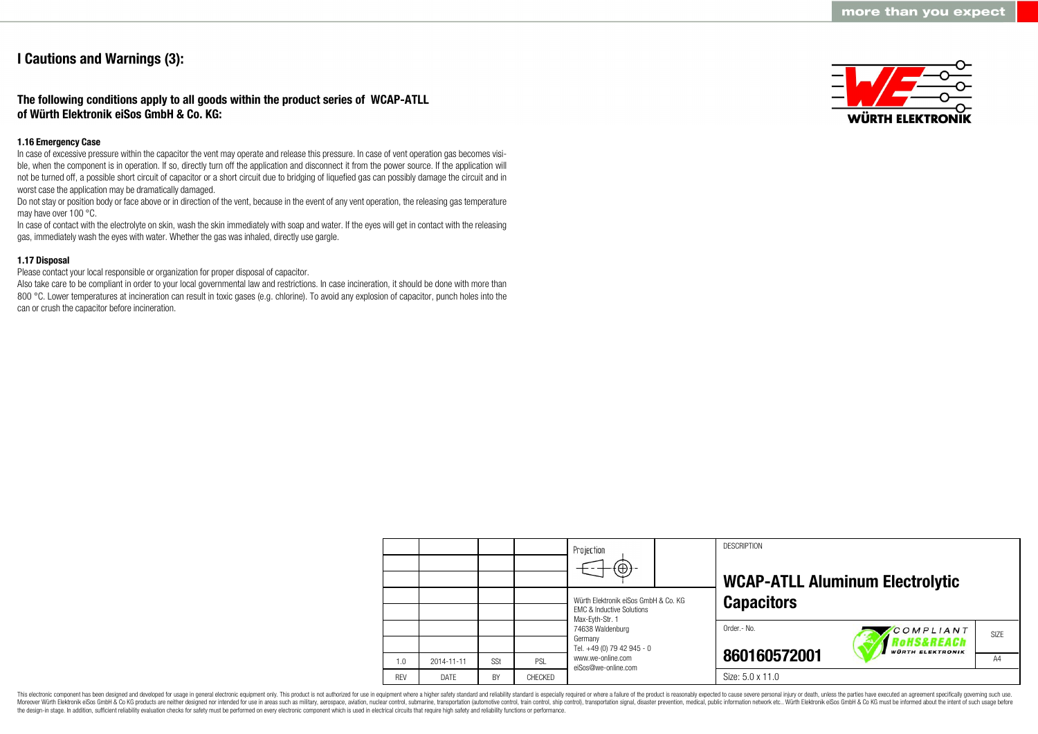### **I Cautions and Warnings (3):**

### **The following conditions apply to all goods within the product series of WCAP-ATLL of Würth Elektronik eiSos GmbH & Co. KG:**

#### **1.16 Emergency Case**

In case of excessive pressure within the capacitor the vent may operate and release this pressure. In case of vent operation gas becomes visible, when the component is in operation. If so, directly turn off the application and disconnect it from the power source. If the application will not be turned off, a possible short circuit of capacitor or a short circuit due to bridging of liquefied gas can possibly damage the circuit and in worst case the application may be dramatically damaged.

Do not stay or position body or face above or in direction of the vent, because in the event of any vent operation, the releasing gas temperature may have over 100 °C.

In case of contact with the electrolyte on skin, wash the skin immediately with soap and water. If the eyes will get in contact with the releasing gas, immediately wash the eyes with water. Whether the gas was inhaled, directly use gargle.

### **1.17 Disposal**

Please contact your local responsible or organization for proper disposal of capacitor.

Also take care to be compliant in order to your local governmental law and restrictions. In case incineration, it should be done with more than 800 °C. Lower temperatures at incineration can result in toxic gases (e.g. chlorine). To avoid any explosion of capacitor, punch holes into the can or crush the capacitor before incineration.



|            |                  |     |                | Projection<br>$\Theta$                                                                          | <b>DESCRIPTION</b><br><b>WCAP-ATLL Aluminum Electrolytic</b>                          |  |  |
|------------|------------------|-----|----------------|-------------------------------------------------------------------------------------------------|---------------------------------------------------------------------------------------|--|--|
|            |                  |     |                | Würth Elektronik eiSos GmbH & Co. KG<br><b>EMC &amp; Inductive Solutions</b><br>Max-Eyth-Str. 1 | <b>Capacitors</b>                                                                     |  |  |
|            |                  |     |                | 74638 Waldenburg<br>Germany<br>Tel. +49 (0) 79 42 945 - 0                                       | Order.- No.<br>COMPLIANT<br>SI <sub>7</sub> F<br>oHS&REACh<br><b>WÜRTH ELEKTRONIK</b> |  |  |
| 1.0        | $2014 - 11 - 11$ | SSt | PSL            | www.we-online.com<br>eiSos@we-online.com                                                        | 860160572001<br>A4                                                                    |  |  |
| <b>REV</b> | DATE             | BY  | <b>CHFCKFD</b> |                                                                                                 | Size: 5.0 x 11.0                                                                      |  |  |

This electronic component has been designed and developed for usage in general electronic equipment only. This product is not authorized for use in equipment where a higher safety standard and reliability standard is espec Moreover Würth Elektronik eiSos GmbH & Co KG products are neither designed nor intended for use in areas such as military, aerospace, aviation, nuclear control, submarine, transportation (automotive control, ship control), the design-in stage. In addition, sufficient reliability evaluation checks for safety must be performed on every electronic component which is used in electrical circuits that require high safety and reliability functions